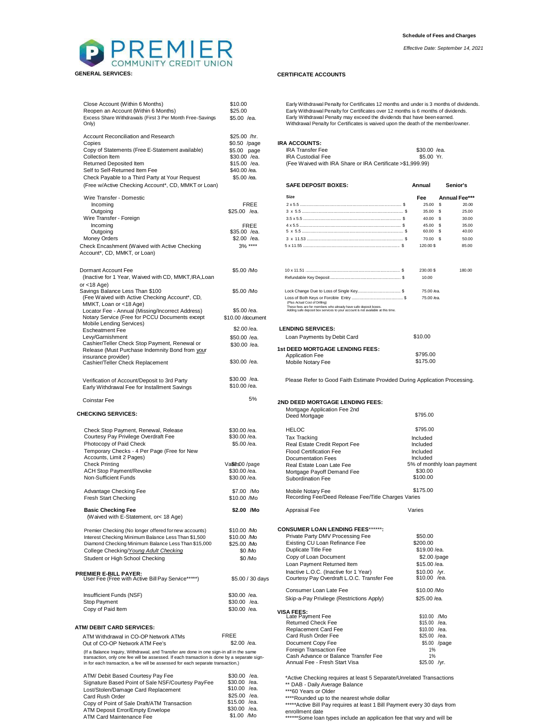

| Close Account (Within 6 Months)<br>Reopen an Account (Within 6 Months)<br>Excess Share Withdrawals (First 3 Per Month Free-Savings<br>Only)                                    | \$10.00<br>\$25.00<br>\$5.00 /ea. | Early Withdrawal Penalty for Certificates 12 months and under is 3 mor<br>Early Withdrawal Penalty for Certificates over 12 months is 6 months of<br>Early Withdrawal Penalty may exceed the dividends that have been ea<br>Withdrawal Penalty for Certificates is waived upon the death of the mer |                             |  |
|--------------------------------------------------------------------------------------------------------------------------------------------------------------------------------|-----------------------------------|-----------------------------------------------------------------------------------------------------------------------------------------------------------------------------------------------------------------------------------------------------------------------------------------------------|-----------------------------|--|
| Account Reconciliation and Research                                                                                                                                            | \$25.00 /hr.                      |                                                                                                                                                                                                                                                                                                     |                             |  |
| Copies                                                                                                                                                                         | \$0.50 /page                      | <b>IRA ACCOUNTS:</b>                                                                                                                                                                                                                                                                                |                             |  |
| Copy of Statements (Free E-Statement available)                                                                                                                                | \$5.00 page                       | <b>IRA Transfer Fee</b>                                                                                                                                                                                                                                                                             | $$30.00$ /ea                |  |
| Collection Item                                                                                                                                                                | \$30.00 /ea.                      | <b>IRA Custodial Fee</b>                                                                                                                                                                                                                                                                            | \$5.00 Yr.                  |  |
| Returned Deposited Item                                                                                                                                                        | $$15.00$ /ea.                     | (Fee Waived with IRA Share or IRA Certificate > \$1,999.99)                                                                                                                                                                                                                                         |                             |  |
| Self to Self-Returned Item Fee                                                                                                                                                 | \$40.00 /ea.                      |                                                                                                                                                                                                                                                                                                     |                             |  |
| Check Payable to a Third Party at Your Request                                                                                                                                 | \$5.00 /ea.                       |                                                                                                                                                                                                                                                                                                     |                             |  |
| (Free w/Active Checking Account*, CD, MMKT or Loan)                                                                                                                            |                                   | <b>SAFE DEPOSIT BOXES:</b>                                                                                                                                                                                                                                                                          | Annual                      |  |
|                                                                                                                                                                                |                                   | Size                                                                                                                                                                                                                                                                                                |                             |  |
| Wire Transfer - Domestic                                                                                                                                                       |                                   |                                                                                                                                                                                                                                                                                                     | Fee<br>Α<br>25.00 S         |  |
| Incoming                                                                                                                                                                       | <b>FREE</b>                       |                                                                                                                                                                                                                                                                                                     | 35.00 \$                    |  |
| Outgoing<br>Wire Transfer - Foreign                                                                                                                                            | \$25.00 /ea.                      |                                                                                                                                                                                                                                                                                                     | 40.00 \$                    |  |
|                                                                                                                                                                                |                                   |                                                                                                                                                                                                                                                                                                     |                             |  |
| Incoming<br>Outgoing                                                                                                                                                           | FREE<br>$$35.00$ /ea.             |                                                                                                                                                                                                                                                                                                     | 45.00 \$<br>60.00 \$        |  |
| <b>Money Orders</b>                                                                                                                                                            | \$2.00 /ea.                       |                                                                                                                                                                                                                                                                                                     | 70.00 \$                    |  |
|                                                                                                                                                                                | $3\%$ ****                        |                                                                                                                                                                                                                                                                                                     | 120.00 \$                   |  |
| Check Encashment (Waived with Active Checking<br>Account*, CD, MMKT, or Loan)                                                                                                  |                                   |                                                                                                                                                                                                                                                                                                     |                             |  |
| Dormant Account Fee                                                                                                                                                            | \$5.00 /Mo                        |                                                                                                                                                                                                                                                                                                     | 230.00\$                    |  |
| (Inactive for 1 Year, Waived with CD, MMKT, IRA, Loan<br>or $<$ 18 Age)                                                                                                        |                                   |                                                                                                                                                                                                                                                                                                     | 10.00                       |  |
| Savings Balance Less Than \$100                                                                                                                                                | \$5.00 /Mo                        |                                                                                                                                                                                                                                                                                                     | 75.00 /ea.                  |  |
| (Fee Waived with Active Checking Account*, CD,                                                                                                                                 |                                   |                                                                                                                                                                                                                                                                                                     | 75.00 /ea.                  |  |
| MMKT, Loan or <18 Age)                                                                                                                                                         |                                   | (Plus Actual Cost of Drilling)<br>These fees are for members who already have safe deposit boxes.                                                                                                                                                                                                   |                             |  |
| Locator Fee - Annual (Missing/Incorrect Address)                                                                                                                               | \$5.00 /ea.                       | Adding safe deposit box services to your account is not available at this time.                                                                                                                                                                                                                     |                             |  |
| Notary Service (Free for PCCU Documents except                                                                                                                                 | \$10.00 /document                 |                                                                                                                                                                                                                                                                                                     |                             |  |
| Mobile Lending Services)                                                                                                                                                       |                                   |                                                                                                                                                                                                                                                                                                     |                             |  |
| <b>Escheatment Fee</b>                                                                                                                                                         | \$2.00 /ea.                       | <b>LENDING SERVICES:</b>                                                                                                                                                                                                                                                                            |                             |  |
| Levy/Garnishment                                                                                                                                                               | \$50.00 /ea.                      | Loan Payments by Debit Card                                                                                                                                                                                                                                                                         | \$10.00                     |  |
| Cashier/Teller Check Stop Payment, Renewal or                                                                                                                                  | \$30.00 /ea.                      | 1st DEED MORTGAGE LENDING FEES:                                                                                                                                                                                                                                                                     |                             |  |
| Release (Must Purchase Indemnity Bond from your                                                                                                                                |                                   | <b>Application Fee</b>                                                                                                                                                                                                                                                                              | \$795.00                    |  |
| insurance provider)<br>Cashier/Teller Check Replacement                                                                                                                        | $$30.00$ /ea.                     | Mobile Notary Fee                                                                                                                                                                                                                                                                                   | \$175.00                    |  |
| Verification of Account/Deposit to 3rd Party<br>Early Withdrawal Fee for Installment Savings                                                                                   | \$30.00 /ea.<br>\$10.00 /ea.      | Please Refer to Good Faith Estimate Provided During Applicatior                                                                                                                                                                                                                                     |                             |  |
|                                                                                                                                                                                | 5%                                |                                                                                                                                                                                                                                                                                                     |                             |  |
| Coinstar Fee<br><b>CHECKING SERVICES:</b>                                                                                                                                      |                                   | 2ND DEED MORTGAGE LENDING FEES:<br>Mortgage Application Fee 2nd<br>Deed Mortgage                                                                                                                                                                                                                    | \$795.00                    |  |
|                                                                                                                                                                                |                                   |                                                                                                                                                                                                                                                                                                     |                             |  |
| Check Stop Payment, Renewal, Release                                                                                                                                           | \$30.00 /ea.                      | <b>HELOC</b>                                                                                                                                                                                                                                                                                        | \$795.00                    |  |
| Courtesy Pay Privilege Overdraft Fee                                                                                                                                           | \$30.00 /ea.                      | <b>Tax Tracking</b>                                                                                                                                                                                                                                                                                 | Included                    |  |
| Photocopy of Paid Check                                                                                                                                                        | \$5.00 /ea.                       | Real Estate Credit Report Fee                                                                                                                                                                                                                                                                       | Included                    |  |
| Temporary Checks - 4 Per Page (Free for New                                                                                                                                    |                                   | <b>Flood Certification Fee</b>                                                                                                                                                                                                                                                                      | Included                    |  |
| Accounts, Limit 2 Pages)                                                                                                                                                       |                                   | Documentation Fees                                                                                                                                                                                                                                                                                  | Included                    |  |
| <b>Check Printing</b>                                                                                                                                                          | Va\$2800/page                     | Real Estate Loan Late Fee                                                                                                                                                                                                                                                                           | 5% of monthly               |  |
| <b>ACH Stop Payment/Revoke</b>                                                                                                                                                 | \$30.00 /ea.                      | Mortgage Payoff Demand Fee                                                                                                                                                                                                                                                                          | \$30.00                     |  |
| Non-Sufficient Funds                                                                                                                                                           | \$30.00 /ea.                      | Subordination Fee                                                                                                                                                                                                                                                                                   | \$100.00                    |  |
| Advantage Checking Fee<br><b>Fresh Start Checking</b>                                                                                                                          | \$7.00 /Mo<br>\$10.00 /Mo         | \$175.00<br>Mobile Notary Fee<br>Recording Fee/Deed Release Fee/Title Charges Varies                                                                                                                                                                                                                |                             |  |
| <b>Basic Checking Fee</b>                                                                                                                                                      | \$2.00 /Mo                        | Appraisal Fee                                                                                                                                                                                                                                                                                       | Varies                      |  |
| (Waived with E-Statement, or< 18 Age)                                                                                                                                          |                                   |                                                                                                                                                                                                                                                                                                     |                             |  |
| Premier Checking (No longer offered for new accounts)                                                                                                                          | \$10.00 Mo                        | <b>CONSUMER LOAN LENDING FEES******:</b>                                                                                                                                                                                                                                                            |                             |  |
| Interest Checking Minimum Balance Less Than \$1,500                                                                                                                            | \$10.00 Mo                        | Private Party DMV Processing Fee                                                                                                                                                                                                                                                                    | \$50.00                     |  |
| Diamond Checking Minimum Balance Less Than \$15,000                                                                                                                            | \$25.00 Mo                        | Existing CU Loan Refinance Fee                                                                                                                                                                                                                                                                      | \$200.00                    |  |
| College Checking/Young Adult Checking                                                                                                                                          | \$0 Mo                            | <b>Duplicate Title Fee</b>                                                                                                                                                                                                                                                                          | \$19.00 /ea                 |  |
| Student or High School Checking                                                                                                                                                | \$0/Mo                            | Copy of Loan Document                                                                                                                                                                                                                                                                               | \$2.00/pa                   |  |
|                                                                                                                                                                                |                                   | Loan Payment Returned Item                                                                                                                                                                                                                                                                          | \$15.00 /ea                 |  |
| <b>PREMIER E-BILL PAYER:</b><br>User Fee (Free with Active Bill Pay Service*****)                                                                                              | \$5.00 / 30 days                  | Inactive L.O.C. (Inactive for 1 Year)<br>Courtesy Pay Overdraft L.O.C. Transfer Fee                                                                                                                                                                                                                 | $$10.00$ /yi<br>\$10.00 /ea |  |
|                                                                                                                                                                                |                                   | Consumer Loan Late Fee                                                                                                                                                                                                                                                                              | \$10.00 /Mc                 |  |
| Insufficient Funds (NSF)                                                                                                                                                       | \$30.00 /ea.                      | Skip-a-Pay Privilege (Restrictions Apply)                                                                                                                                                                                                                                                           | \$25.00 /ea.                |  |
| Stop Payment                                                                                                                                                                   | \$30.00 /ea.                      |                                                                                                                                                                                                                                                                                                     |                             |  |
| Copy of Paid Item                                                                                                                                                              | \$30.00 /ea.                      |                                                                                                                                                                                                                                                                                                     |                             |  |
|                                                                                                                                                                                |                                   | VISA FEES:<br>Late Payment Fee                                                                                                                                                                                                                                                                      | \$10.00 /N                  |  |
| ATM/ DEBIT CARD SERVICES:                                                                                                                                                      |                                   | <b>Returned Check Fee</b>                                                                                                                                                                                                                                                                           | $$15.00$ /e                 |  |
|                                                                                                                                                                                |                                   | Replacement Card Fee                                                                                                                                                                                                                                                                                | $$10.00$ /e                 |  |
| ATM Withdrawal in CO-OP Network ATMs                                                                                                                                           | FREE                              | Card Rush Order Fee                                                                                                                                                                                                                                                                                 | \$25.00 /e                  |  |
| Out of CO-OP Network ATM Fee's                                                                                                                                                 | \$2.00 /ea.                       | Document Copy Fee                                                                                                                                                                                                                                                                                   | \$5.00 / p                  |  |
| (If a Balance Inquiry, Withdrawal, and Transfer are done in one sign-in all in the same                                                                                        |                                   | Foreign Transaction Fee<br>Cash Advance or Balance Transfer Fee                                                                                                                                                                                                                                     | 1%                          |  |
| transaction, only one fee will be assessed. If each transaction is done by a separate sign-<br>in for each transaction, a fee will be assessed for each separate transaction.) |                                   | Annual Fee - Fresh Start Visa                                                                                                                                                                                                                                                                       | 1%<br>\$25.00 /yi           |  |
| ATM/ Debit Based Courtesy Pay Fee                                                                                                                                              | \$30.00 /ea.                      |                                                                                                                                                                                                                                                                                                     |                             |  |
| Signature Based Point of Sale NSF/Courtesy PayFee                                                                                                                              | \$30.00 /ea.                      | *Active Checking requires at least 5 Separate/Unrelated Transact                                                                                                                                                                                                                                    |                             |  |
| Lost/Stolen/Damage Card Replacement                                                                                                                                            | \$10.00 /ea.                      | ** DAB - Daily Average Balance<br>***60 Years or Older                                                                                                                                                                                                                                              |                             |  |
| Card Rush Order                                                                                                                                                                | \$25.00 /ea.                      | ****Rounded up to the nearest whole dollar                                                                                                                                                                                                                                                          |                             |  |
| Copy of Point of Sale Draft/ATM Transaction                                                                                                                                    | $$15.00$ /ea.                     | *****Active Bill Pay requires at least 1 Bill Payment every 30 days                                                                                                                                                                                                                                 |                             |  |
| ATM Denosit Error/Empty Envelope                                                                                                                                               | \$30.00 /ea.                      |                                                                                                                                                                                                                                                                                                     |                             |  |

ATM Deposit Error/Empty Envelope ATM Card Maintenance Fee

## **GENERAL SERVICES: CERTIFICATE ACCOUNTS**

Early Withdrawal Penalty for Certificates 12 months and under is 3 months of dividends. Early Withdrawal Penalty for Certificates over 12 months is 6 months of dividends. \$5.00 /ea. Early Withdrawal Penalty may exceed the dividends that have been earned. Withdrawal Penalty for Certificates is waived upon the death of the member/owner.

## **IRA ACCOUNTS:**

| <b>SAFE DEPOSIT BOXES:</b>                                  | Annual        | Senior's |
|-------------------------------------------------------------|---------------|----------|
| (Fee Waived with IRA Share or IRA Certificate > \$1,999.99) |               |          |
| <b>IRA Custodial Fee</b>                                    | \$5.00 Yr.    |          |
| <b>IRA Transfer Fee</b>                                     | $$30.00$ /ea. |          |
|                                                             |               |          |

| Wire Transfer - Domestic                                                                                                                                                       |                              | <b>Size</b>                                                                                                                                       | Fee                  | Annual Fee***              |
|--------------------------------------------------------------------------------------------------------------------------------------------------------------------------------|------------------------------|---------------------------------------------------------------------------------------------------------------------------------------------------|----------------------|----------------------------|
| Incoming                                                                                                                                                                       | <b>FREE</b>                  |                                                                                                                                                   | 25.00 \$             | 20.00                      |
| Outgoing                                                                                                                                                                       | $$25.00$ /ea.                |                                                                                                                                                   | 35.00 \$             | 25.00                      |
| Wire Transfer - Foreign                                                                                                                                                        |                              |                                                                                                                                                   | $40.00$ S            | 30.00                      |
| Incoming                                                                                                                                                                       | <b>FREE</b>                  |                                                                                                                                                   | 45.00 S              | 35.00                      |
| Outgoing                                                                                                                                                                       | \$35.00 /ea.                 |                                                                                                                                                   | 60.00 S              | 40.00                      |
| <b>Money Orders</b>                                                                                                                                                            | $$2.00$ /ea.                 |                                                                                                                                                   | 70.00 \$             | 50.00                      |
| Check Encashment (Waived with Active Checking<br>Account*, CD, MMKT, or Loan)                                                                                                  | $3\%$ ****                   |                                                                                                                                                   | 120.00\$             | 85.00                      |
| Dormant Account Fee                                                                                                                                                            | \$5.00 /Mo                   |                                                                                                                                                   | 230.00\$             | 180.00                     |
| (Inactive for 1 Year, Waived with CD, MMKT, IRA, Loan                                                                                                                          |                              |                                                                                                                                                   | 10.00                |                            |
| or <18 Age)                                                                                                                                                                    |                              |                                                                                                                                                   |                      |                            |
| Savings Balance Less Than \$100                                                                                                                                                | \$5.00 /Mo                   |                                                                                                                                                   | 75.00 /ea.           |                            |
| (Fee Waived with Active Checking Account*, CD,                                                                                                                                 |                              | (Plus Actual Cost of Drilling)                                                                                                                    | 75.00 /ea.           |                            |
| MMKT, Loan or <18 Age)<br>Locator Fee - Annual (Missing/Incorrect Address)                                                                                                     | \$5.00 /ea.                  | These fees are for members who already have safe deposit boxes.<br>Adding safe deposit box services to your account is not available at this time |                      |                            |
| Notary Service (Free for PCCU Documents except                                                                                                                                 | \$10.00 /document            |                                                                                                                                                   |                      |                            |
| Mobile Lending Services)                                                                                                                                                       |                              |                                                                                                                                                   |                      |                            |
| <b>Escheatment Fee</b>                                                                                                                                                         | $$2.00$ /ea.                 | <b>LENDING SERVICES:</b>                                                                                                                          |                      |                            |
| Levy/Garnishment                                                                                                                                                               | \$50.00 /ea.                 | Loan Payments by Debit Card                                                                                                                       | \$10.00              |                            |
| Cashier/Teller Check Stop Payment, Renewal or                                                                                                                                  | \$30.00 /ea.                 |                                                                                                                                                   |                      |                            |
| Release (Must Purchase Indemnity Bond from your                                                                                                                                |                              | 1st DEED MORTGAGE LENDING FEES:                                                                                                                   |                      |                            |
| insurance provider)                                                                                                                                                            |                              | <b>Application Fee</b>                                                                                                                            | \$795.00<br>\$175.00 |                            |
| Cashier/Teller Check Replacement                                                                                                                                               | \$30.00 /ea.                 | Mobile Notary Fee                                                                                                                                 |                      |                            |
| Verification of Account/Deposit to 3rd Party<br>Early Withdrawal Fee for Installment Savings                                                                                   | \$30.00 /ea.<br>\$10.00 /ea. | Please Refer to Good Faith Estimate Provided During Application Processing.                                                                       |                      |                            |
| Coinstar Fee                                                                                                                                                                   | 5%                           | 2ND DEED MORTGAGE LENDING FEES:                                                                                                                   |                      |                            |
|                                                                                                                                                                                |                              | Mortgage Application Fee 2nd                                                                                                                      |                      |                            |
| <b>HECKING SERVICES:</b>                                                                                                                                                       |                              | Deed Mortgage                                                                                                                                     | \$795.00             |                            |
| Check Stop Payment, Renewal, Release                                                                                                                                           | \$30.00 /ea.                 | <b>HELOC</b>                                                                                                                                      | \$795.00             |                            |
| Courtesy Pay Privilege Overdraft Fee                                                                                                                                           | \$30.00 /ea.                 | <b>Tax Tracking</b>                                                                                                                               | Included             |                            |
| Photocopy of Paid Check                                                                                                                                                        | \$5.00 /ea.                  | Real Estate Credit Report Fee                                                                                                                     | Included             |                            |
| Temporary Checks - 4 Per Page (Free for New                                                                                                                                    |                              | <b>Flood Certification Fee</b>                                                                                                                    | Included             |                            |
| Accounts, Limit 2 Pages)                                                                                                                                                       |                              | <b>Documentation Fees</b>                                                                                                                         | Included             |                            |
| <b>Check Printing</b>                                                                                                                                                          | Va\$2s00 /page               | Real Estate Loan Late Fee                                                                                                                         |                      | 5% of monthly loan payment |
| ACH Stop Payment/Revoke                                                                                                                                                        | \$30.00 /ea.                 | Mortgage Payoff Demand Fee                                                                                                                        | \$30.00<br>\$100.00  |                            |
| Non-Sufficient Funds                                                                                                                                                           | \$30.00 /ea.                 | Subordination Fee                                                                                                                                 |                      |                            |
| Advantage Checking Fee                                                                                                                                                         | \$7.00 /Mo                   | Mobile Notary Fee                                                                                                                                 | \$175.00             |                            |
| Fresh Start Checking                                                                                                                                                           | \$10.00 /Mo                  | Recording Fee/Deed Release Fee/Title Charges Varies                                                                                               |                      |                            |
| <b>Basic Checking Fee</b><br>(Waived with E-Statement, or< 18 Age)                                                                                                             | \$2.00 /Mo                   | Appraisal Fee                                                                                                                                     | Varies               |                            |
| Premier Checking (No longer offered for new accounts)                                                                                                                          | \$10.00 Mo                   | <b>CONSUMER LOAN LENDING FEES******:</b>                                                                                                          |                      |                            |
| Interest Checking Minimum Balance Less Than \$1,500                                                                                                                            | \$10.00 Mo                   | Private Party DMV Processing Fee                                                                                                                  | \$50.00              |                            |
| Diamond Checking Minimum Balance Less Than \$15,000                                                                                                                            | \$25.00 Mo                   | Existing CU Loan Refinance Fee                                                                                                                    | \$200.00             |                            |
| College Checking/Young Adult Checking                                                                                                                                          | \$0 Mo                       | Duplicate Title Fee                                                                                                                               | \$19.00 /ea.         |                            |
| Student or High School Checking                                                                                                                                                | \$0/Mo                       | Copy of Loan Document                                                                                                                             | \$2.00 /page         |                            |
|                                                                                                                                                                                |                              | Loan Payment Returned Item                                                                                                                        | \$15.00 /ea.         |                            |
| <b>REMIER E-BILL PAYER:</b>                                                                                                                                                    |                              | Inactive L.O.C. (Inactive for 1 Year)                                                                                                             | \$10.00 /yr.         |                            |
| User Fee (Free with Active Bill Pay Service*****)                                                                                                                              | \$5.00 / 30 days             | Courtesy Pay Overdraft L.O.C. Transfer Fee                                                                                                        | \$10.00 /ea.         |                            |
| Insufficient Funds (NSF)                                                                                                                                                       | $$30.00$ /ea.                | Consumer Loan Late Fee                                                                                                                            | \$10.00 /Mo          |                            |
| Stop Payment                                                                                                                                                                   | \$30.00 /ea.                 | Skip-a-Pay Privilege (Restrictions Apply)                                                                                                         | \$25.00 /ea.         |                            |
| Copy of Paid Item                                                                                                                                                              | \$30.00 /ea.                 |                                                                                                                                                   |                      |                            |
|                                                                                                                                                                                |                              | VISA FEES:<br>Late Payment Fee                                                                                                                    | \$10.00 /Mo          |                            |
|                                                                                                                                                                                |                              | Returned Check Fee                                                                                                                                | \$15.00 /ea.         |                            |
| <b>TM/ DEBIT CARD SERVICES:</b>                                                                                                                                                |                              | Replacement Card Fee                                                                                                                              | \$10.00 /ea.         |                            |
| ATM Withdrawal in CO-OP Network ATMs                                                                                                                                           | <b>FREE</b>                  | Card Rush Order Fee                                                                                                                               | \$25.00              | /ea.                       |
| Out of CO-OP Network ATM Fee's                                                                                                                                                 | \$2.00 /ea.                  | Document Copy Fee                                                                                                                                 |                      | $$5.00$ /page              |
| (If a Balance Inquiry, Withdrawal, and Transfer are done in one sign-in all in the same                                                                                        |                              | Foreign Transaction Fee                                                                                                                           | 1%                   |                            |
| transaction, only one fee will be assessed. If each transaction is done by a separate sign-<br>in for each transaction, a fee will be assessed for each separate transaction.) |                              | Cash Advance or Balance Transfer Fee<br>Annual Fee - Fresh Start Visa                                                                             | 1%<br>\$25.00 /yr.   |                            |
|                                                                                                                                                                                |                              |                                                                                                                                                   |                      |                            |

\*Active Checking requires at least 5 Separate/Unrelated Transactions \*\* DAB - Daily Average Balance \*\*\*60 Years or Older

\$1.00 /Mo

\*\*\*\*Rounded up to the nearest whole dollar \*\*\*\*\*Active Bill Pay requires at least 1 Bill Payment every 30 days from

enrollment date \*\*\*\*\*\*Some loan types include an application fee that vary and will be